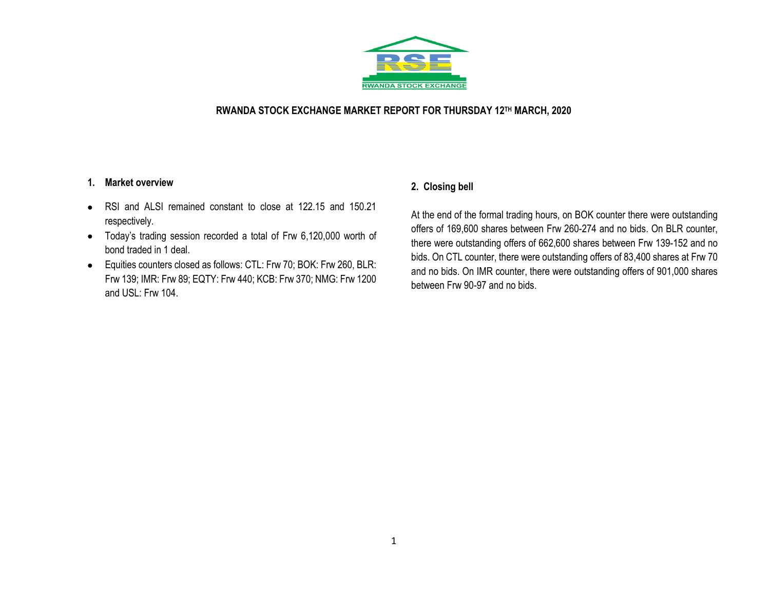

#### **RWANDA STOCK EXCHANGE MARKET REPORT FOR THURSDAY 12 TH MARCH, 2020**

#### **1. Market overview**

- RSI and ALSI remained constant to close at 122.15 and 150.21 respectively.
- Today's trading session recorded a total of Frw 6,120,000 worth of bond traded in 1 deal.
- Equities counters closed as follows: CTL: Frw 70; BOK: Frw 260, BLR: Frw 139; IMR: Frw 89; EQTY: Frw 440; KCB: Frw 370; NMG: Frw 1200 and USL: Frw 104.

## **2. Closing bell**

At the end of the formal trading hours, on BOK counter there were outstanding offers of 169,600 shares between Frw 260-274 and no bids. On BLR counter, there were outstanding offers of 662,600 shares between Frw 139-152 and no bids. On CTL counter, there were outstanding offers of 83,400 shares at Frw 70 and no bids. On IMR counter, there were outstanding offers of 901,000 shares between Frw 90-97 and no bids.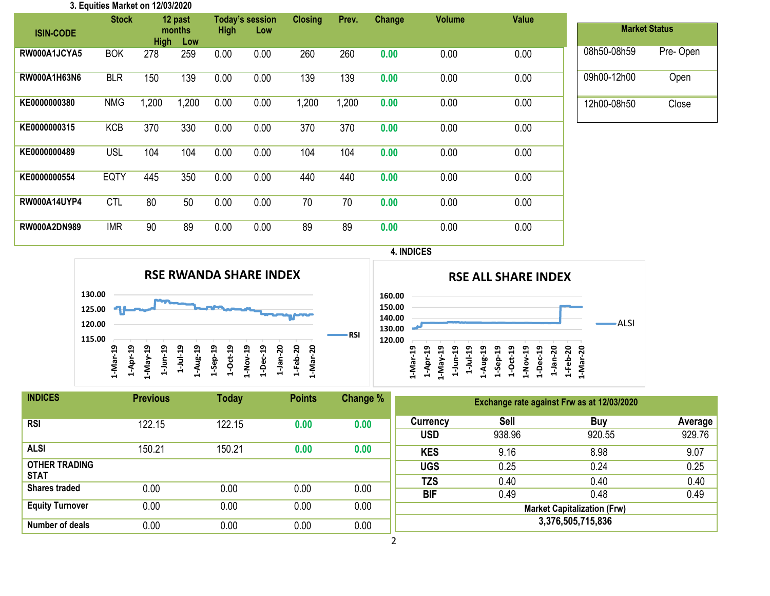| 3. Equities Market on 12/03/2020 |              |             |       |             |                        |                |       |        |               |       |             |                      |
|----------------------------------|--------------|-------------|-------|-------------|------------------------|----------------|-------|--------|---------------|-------|-------------|----------------------|
|                                  | <b>Stock</b> | 12 past     |       |             | <b>Today's session</b> | <b>Closing</b> | Prev. | Change | <b>Volume</b> | Value |             |                      |
| <b>ISIN-CODE</b>                 |              | months      |       | <b>High</b> | Low                    |                |       |        |               |       |             | <b>Market Status</b> |
|                                  |              | <b>High</b> | Low   |             |                        |                |       |        |               |       |             |                      |
| RW000A1JCYA5                     | <b>BOK</b>   | 278         | 259   | 0.00        | 0.00                   | 260            | 260   | 0.00   | 0.00          | 0.00  | 08h50-08h59 | Pre-Open             |
|                                  |              |             |       |             |                        |                |       |        |               |       |             |                      |
| <b>RW000A1H63N6</b>              | <b>BLR</b>   | 150         | 139   | 0.00        | 0.00                   | 139            | 139   | 0.00   | 0.00          | 0.00  | 09h00-12h00 | Open                 |
|                                  |              |             |       |             |                        |                |       |        |               |       |             |                      |
| KE0000000380                     | <b>NMG</b>   | 1,200       | 1,200 | 0.00        | 0.00                   | .200           | 1,200 | 0.00   | 0.00          | 0.00  | 12h00-08h50 | Close                |
|                                  |              |             |       |             |                        |                |       |        |               |       |             |                      |
| KE0000000315                     | <b>KCB</b>   | 370         | 330   | 0.00        | 0.00                   | 370            | 370   | 0.00   | 0.00          | 0.00  |             |                      |
|                                  |              |             |       |             |                        |                |       |        |               |       |             |                      |
| KE0000000489                     | <b>USL</b>   | 104         | 104   | 0.00        | 0.00                   | 104            | 104   | 0.00   | 0.00          | 0.00  |             |                      |
|                                  |              |             |       |             |                        |                |       |        |               |       |             |                      |
| KE0000000554                     | <b>EQTY</b>  | 445         | 350   | 0.00        | 0.00                   | 440            | 440   | 0.00   | 0.00          | 0.00  |             |                      |
|                                  |              |             |       |             |                        |                |       |        |               |       |             |                      |
| <b>RW000A14UYP4</b>              | <b>CTL</b>   | 80          | 50    | 0.00        | 0.00                   | 70             | 70    | 0.00   | 0.00          | 0.00  |             |                      |
|                                  |              |             |       |             |                        |                |       |        |               |       |             |                      |
| <b>RW000A2DN989</b>              | <b>IMR</b>   | 90          | 89    | 0.00        | 0.00                   | 89             | 89    | 0.00   | 0.00          | 0.00  |             |                      |
|                                  |              |             |       |             |                        |                |       |        |               |       |             |                      |







| <b>INDICES</b>                      | <b>Previous</b> | <b>Today</b> | <b>Points</b> | Change % | Exchange rate against Frw as at 12/03/2020 |                       |                      |                   |  |  |
|-------------------------------------|-----------------|--------------|---------------|----------|--------------------------------------------|-----------------------|----------------------|-------------------|--|--|
| <b>RSI</b>                          | 122.15          | 122.15       | 0.00          | 0.00     | Currency<br><b>USD</b>                     | <b>Sell</b><br>938.96 | <b>Buy</b><br>920.55 | Average<br>929.76 |  |  |
| <b>ALSI</b>                         | 150.21          | 150.21       | 0.00          | 0.00     | <b>KES</b>                                 | 9.16                  | 8.98                 | 9.07              |  |  |
| <b>OTHER TRADING</b><br><b>STAT</b> |                 |              |               |          | <b>UGS</b>                                 | 0.25                  | 0.24                 | 0.25              |  |  |
| <b>Shares traded</b>                | 0.00            | 0.00         | 0.00          | 0.00     | <b>TZS</b><br><b>BIF</b>                   | 0.40<br>0.49          | 0.40<br>0.48         | 0.40<br>0.49      |  |  |
| <b>Equity Turnover</b>              | 0.00            | 0.00         | 0.00          | 0.00     | <b>Market Capitalization (Frw)</b>         |                       |                      |                   |  |  |
| Number of deals                     | 0.00            | 0.00         | 0.00          | 0.00     | 3,376,505,715,836                          |                       |                      |                   |  |  |